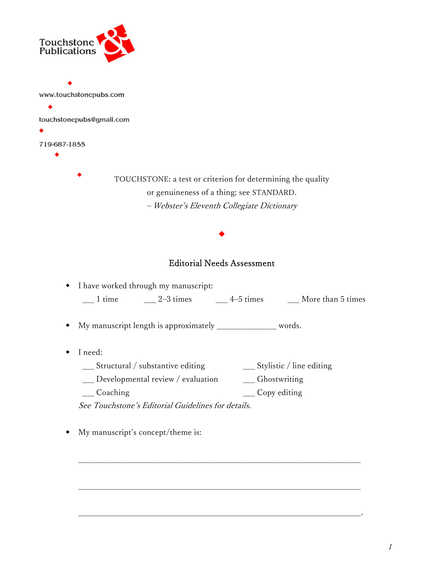

www.touchstonepubs.com ٠ touchstonepubs@gmail.com 719-687-1855

٠

TOUCHSTONE: a test or criterion for determining the quality or genuineness of a thing; see STANDARD. – Webster's Eleventh Collegiate Dictionary

## Editorial Needs Assessment

٠

|        | • I have worked through my manuscript: |             |                   |
|--------|----------------------------------------|-------------|-------------------|
| 1 time | $2-3$ times                            | $4-5$ times | More than 5 times |

My manuscript length is approximately \_\_\_\_\_\_\_\_\_\_\_\_\_\_\_ words.

- I need:
	- \_\_\_ Structural / substantive editing \_\_\_ Stylistic / line editing

\_\_\_\_\_\_\_\_\_\_\_\_\_\_\_\_\_\_\_\_\_\_\_\_\_\_\_\_\_\_\_\_\_\_\_\_\_\_\_\_\_\_\_\_\_\_\_\_\_\_\_\_\_\_\_\_\_\_\_\_\_\_\_\_\_\_\_\_\_\_\_

\_\_\_\_\_\_\_\_\_\_\_\_\_\_\_\_\_\_\_\_\_\_\_\_\_\_\_\_\_\_\_\_\_\_\_\_\_\_\_\_\_\_\_\_\_\_\_\_\_\_\_\_\_\_\_\_\_\_\_\_\_\_\_\_\_\_\_\_\_\_\_

\_\_\_\_\_\_\_\_\_\_\_\_\_\_\_\_\_\_\_\_\_\_\_\_\_\_\_\_\_\_\_\_\_\_\_\_\_\_\_\_\_\_\_\_\_\_\_\_\_\_\_\_\_\_\_\_\_\_\_\_\_\_\_\_\_\_\_\_\_\_\_.

- \_\_\_ Developmental review / evaluation \_\_\_ Ghostwriting
- \_\_\_ Coaching \_\_\_ Copy editing

See Touchstone's Editorial Guidelines for details.

My manuscript's concept/theme is: